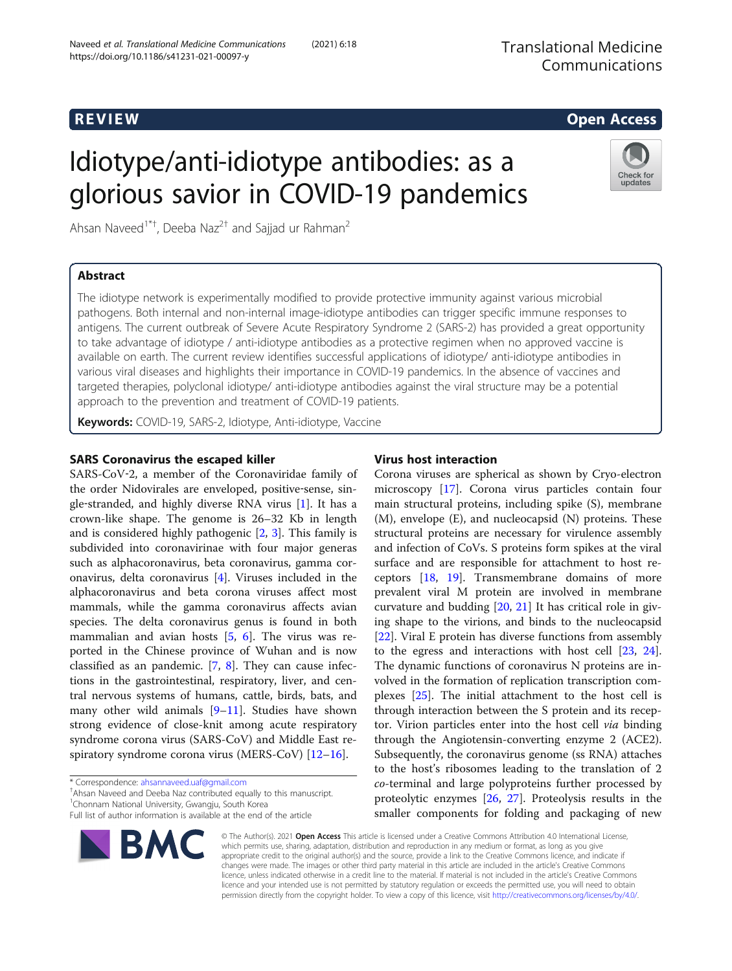https://doi.org/10.1186/s41231-021-00097-y

# Idiotype/anti-idiotype antibodies: as a glorious savior in COVID-19 pandemics

Ahsan Naveed<sup>1\*†</sup>, Deeba Naz<sup>2†</sup> and Sajjad ur Rahman<sup>2</sup>

# Abstract

The idiotype network is experimentally modified to provide protective immunity against various microbial pathogens. Both internal and non-internal image-idiotype antibodies can trigger specific immune responses to antigens. The current outbreak of Severe Acute Respiratory Syndrome 2 (SARS-2) has provided a great opportunity to take advantage of idiotype / anti-idiotype antibodies as a protective regimen when no approved vaccine is available on earth. The current review identifies successful applications of idiotype/ anti-idiotype antibodies in various viral diseases and highlights their importance in COVID-19 pandemics. In the absence of vaccines and targeted therapies, polyclonal idiotype/ anti-idiotype antibodies against the viral structure may be a potential approach to the prevention and treatment of COVID-19 patients.

Keywords: COVID-19, SARS-2, Idiotype, Anti-idiotype, Vaccine

# SARS Coronavirus the escaped killer

SARS-CoV-2, a member of the Coronaviridae family of the order Nidovirales are enveloped, positive-sense, single-stranded, and highly diverse RNA virus  $[1]$  $[1]$ . It has a crown-like shape. The genome is 26–32 Kb in length and is considered highly pathogenic [[2,](#page-3-0) [3](#page-3-0)]. This family is subdivided into coronavirinae with four major generas such as alphacoronavirus, beta coronavirus, gamma coronavirus, delta coronavirus [\[4](#page-3-0)]. Viruses included in the alphacoronavirus and beta corona viruses affect most mammals, while the gamma coronavirus affects avian species. The delta coronavirus genus is found in both mammalian and avian hosts [[5](#page-3-0), [6\]](#page-3-0). The virus was reported in the Chinese province of Wuhan and is now classified as an pandemic.  $[7, 8]$  $[7, 8]$  $[7, 8]$  $[7, 8]$ . They can cause infections in the gastrointestinal, respiratory, liver, and central nervous systems of humans, cattle, birds, bats, and many other wild animals  $[9-11]$  $[9-11]$  $[9-11]$  $[9-11]$ . Studies have shown strong evidence of close-knit among acute respiratory syndrome corona virus (SARS-CoV) and Middle East respiratory syndrome corona virus (MERS-CoV) [[12](#page-3-0)–[16](#page-3-0)].

Ahsan Naveed and Deeba Naz contributed equally to this manuscript. <sup>1</sup> Chonnam National University, Gwangju, South Korea

# Virus host interaction

Corona viruses are spherical as shown by Cryo-electron microscopy [[17\]](#page-3-0). Corona virus particles contain four main structural proteins, including spike (S), membrane (M), envelope (E), and nucleocapsid (N) proteins. These structural proteins are necessary for virulence assembly and infection of CoVs. S proteins form spikes at the viral surface and are responsible for attachment to host receptors [[18,](#page-3-0) [19](#page-3-0)]. Transmembrane domains of more prevalent viral M protein are involved in membrane curvature and budding [[20,](#page-3-0) [21\]](#page-3-0) It has critical role in giving shape to the virions, and binds to the nucleocapsid [[22\]](#page-3-0). Viral E protein has diverse functions from assembly to the egress and interactions with host cell [\[23](#page-3-0), [24](#page-3-0)]. The dynamic functions of coronavirus N proteins are involved in the formation of replication transcription complexes [\[25\]](#page-3-0). The initial attachment to the host cell is through interaction between the S protein and its receptor. Virion particles enter into the host cell via binding through the Angiotensin-converting enzyme 2 (ACE2). Subsequently, the coronavirus genome (ss RNA) attaches to the host's ribosomes leading to the translation of 2 co-terminal and large polyproteins further processed by proteolytic enzymes [\[26,](#page-3-0) [27\]](#page-3-0). Proteolysis results in the smaller components for folding and packaging of new

© The Author(s). 2021 Open Access This article is licensed under a Creative Commons Attribution 4.0 International License, which permits use, sharing, adaptation, distribution and reproduction in any medium or format, as long as you give appropriate credit to the original author(s) and the source, provide a link to the Creative Commons licence, and indicate if changes were made. The images or other third party material in this article are included in the article's Creative Commons licence, unless indicated otherwise in a credit line to the material. If material is not included in the article's Creative Commons licence and your intended use is not permitted by statutory regulation or exceeds the permitted use, you will need to obtain permission directly from the copyright holder. To view a copy of this licence, visit [http://creativecommons.org/licenses/by/4.0/.](http://creativecommons.org/licenses/by/4.0/)





updates

# R EVI EW Open Access

<sup>\*</sup> Correspondence: [ahsannaveed.uaf@gmail.com](mailto:ahsannaveed.uaf@gmail.com) †

Full list of author information is available at the end of the article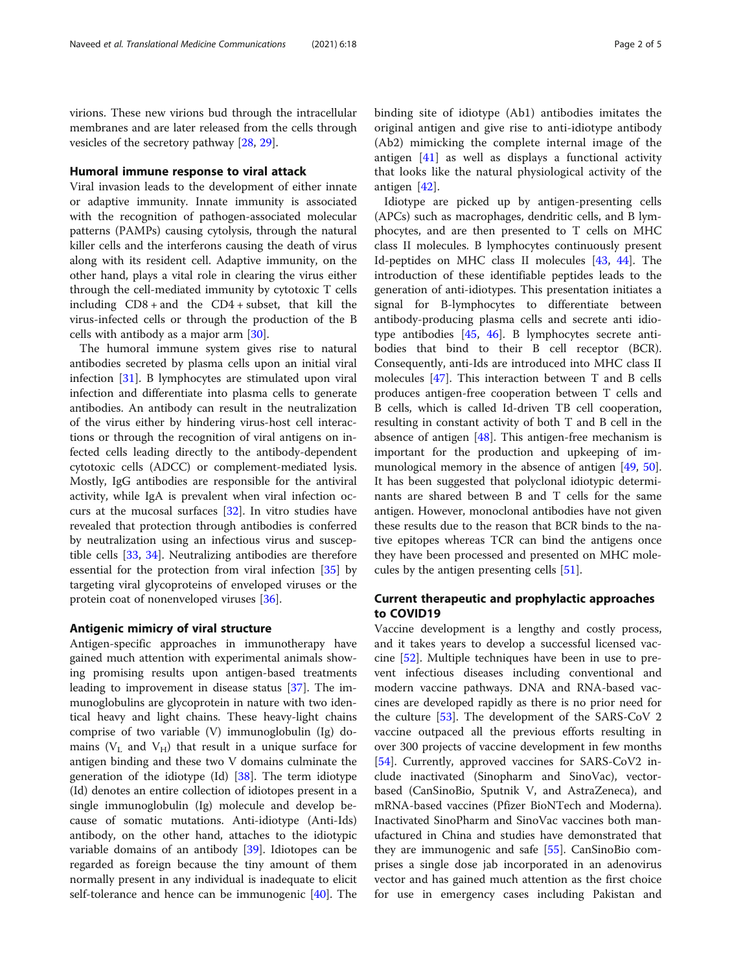virions. These new virions bud through the intracellular membranes and are later released from the cells through vesicles of the secretory pathway [[28](#page-3-0), [29](#page-3-0)].

#### Humoral immune response to viral attack

Viral invasion leads to the development of either innate or adaptive immunity. Innate immunity is associated with the recognition of pathogen-associated molecular patterns (PAMPs) causing cytolysis, through the natural killer cells and the interferons causing the death of virus along with its resident cell. Adaptive immunity, on the other hand, plays a vital role in clearing the virus either through the cell-mediated immunity by cytotoxic T cells including  $CD8 + and$  the  $CD4 + subset$ , that kill the virus-infected cells or through the production of the B cells with antibody as a major arm [\[30\]](#page-3-0).

The humoral immune system gives rise to natural antibodies secreted by plasma cells upon an initial viral infection [[31\]](#page-3-0). B lymphocytes are stimulated upon viral infection and differentiate into plasma cells to generate antibodies. An antibody can result in the neutralization of the virus either by hindering virus-host cell interactions or through the recognition of viral antigens on infected cells leading directly to the antibody-dependent cytotoxic cells (ADCC) or complement-mediated lysis. Mostly, IgG antibodies are responsible for the antiviral activity, while IgA is prevalent when viral infection occurs at the mucosal surfaces [\[32](#page-3-0)]. In vitro studies have revealed that protection through antibodies is conferred by neutralization using an infectious virus and susceptible cells [[33,](#page-3-0) [34](#page-3-0)]. Neutralizing antibodies are therefore essential for the protection from viral infection [[35\]](#page-3-0) by targeting viral glycoproteins of enveloped viruses or the protein coat of nonenveloped viruses [\[36](#page-3-0)].

### Antigenic mimicry of viral structure

Antigen-specific approaches in immunotherapy have gained much attention with experimental animals showing promising results upon antigen-based treatments leading to improvement in disease status [[37\]](#page-3-0). The immunoglobulins are glycoprotein in nature with two identical heavy and light chains. These heavy-light chains comprise of two variable (V) immunoglobulin (Ig) domains ( $V<sub>L</sub>$  and  $V<sub>H</sub>$ ) that result in a unique surface for antigen binding and these two V domains culminate the generation of the idiotype (Id) [[38\]](#page-3-0). The term idiotype (Id) denotes an entire collection of idiotopes present in a single immunoglobulin (Ig) molecule and develop because of somatic mutations. Anti-idiotype (Anti-Ids) antibody, on the other hand, attaches to the idiotypic variable domains of an antibody [[39\]](#page-3-0). Idiotopes can be regarded as foreign because the tiny amount of them normally present in any individual is inadequate to elicit self-tolerance and hence can be immunogenic [\[40](#page-3-0)]. The

binding site of idiotype (Ab1) antibodies imitates the original antigen and give rise to anti-idiotype antibody (Ab2) mimicking the complete internal image of the antigen [\[41](#page-3-0)] as well as displays a functional activity that looks like the natural physiological activity of the antigen [[42\]](#page-4-0).

Idiotype are picked up by antigen-presenting cells (APCs) such as macrophages, dendritic cells, and B lymphocytes, and are then presented to T cells on MHC class II molecules. B lymphocytes continuously present Id-peptides on MHC class II molecules [[43,](#page-4-0) [44\]](#page-4-0). The introduction of these identifiable peptides leads to the generation of anti-idiotypes. This presentation initiates a signal for B-lymphocytes to differentiate between antibody-producing plasma cells and secrete anti idiotype antibodies [\[45](#page-4-0), [46\]](#page-4-0). B lymphocytes secrete antibodies that bind to their B cell receptor (BCR). Consequently, anti-Ids are introduced into MHC class II molecules [[47\]](#page-4-0). This interaction between T and B cells produces antigen-free cooperation between T cells and B cells, which is called Id-driven TB cell cooperation, resulting in constant activity of both T and B cell in the absence of antigen  $[48]$  $[48]$ . This antigen-free mechanism is important for the production and upkeeping of immunological memory in the absence of antigen [[49,](#page-4-0) [50](#page-4-0)]. It has been suggested that polyclonal idiotypic determinants are shared between B and T cells for the same antigen. However, monoclonal antibodies have not given these results due to the reason that BCR binds to the native epitopes whereas TCR can bind the antigens once they have been processed and presented on MHC molecules by the antigen presenting cells [[51\]](#page-4-0).

# Current therapeutic and prophylactic approaches to COVID19

Vaccine development is a lengthy and costly process, and it takes years to develop a successful licensed vaccine [[52](#page-4-0)]. Multiple techniques have been in use to prevent infectious diseases including conventional and modern vaccine pathways. DNA and RNA-based vaccines are developed rapidly as there is no prior need for the culture [\[53\]](#page-4-0). The development of the SARS-CoV 2 vaccine outpaced all the previous efforts resulting in over 300 projects of vaccine development in few months [[54\]](#page-4-0). Currently, approved vaccines for SARS-CoV2 include inactivated (Sinopharm and SinoVac), vectorbased (CanSinoBio, Sputnik V, and AstraZeneca), and mRNA-based vaccines (Pfizer BioNTech and Moderna). Inactivated SinoPharm and SinoVac vaccines both manufactured in China and studies have demonstrated that they are immunogenic and safe [[55](#page-4-0)]. CanSinoBio comprises a single dose jab incorporated in an adenovirus vector and has gained much attention as the first choice for use in emergency cases including Pakistan and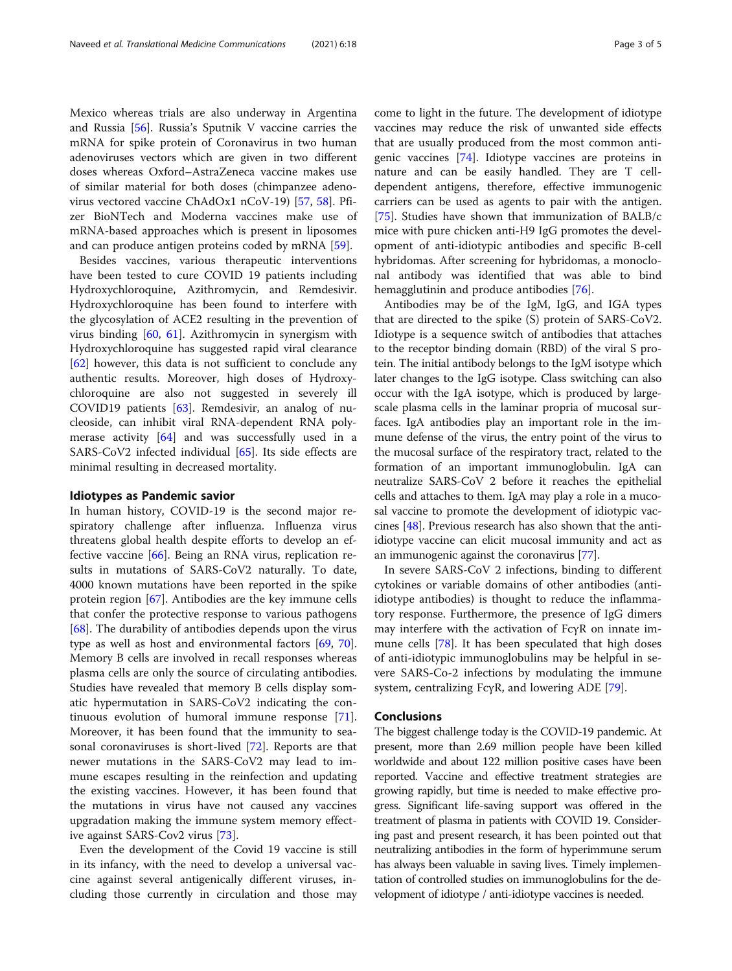Mexico whereas trials are also underway in Argentina and Russia  $[56]$  $[56]$ . Russia's Sputnik V vaccine carries the mRNA for spike protein of Coronavirus in two human adenoviruses vectors which are given in two different doses whereas Oxford–AstraZeneca vaccine makes use of similar material for both doses (chimpanzee adenovirus vectored vaccine ChAdOx1 nCoV-19) [[57](#page-4-0), [58\]](#page-4-0). Pfizer BioNTech and Moderna vaccines make use of mRNA-based approaches which is present in liposomes and can produce antigen proteins coded by mRNA [[59\]](#page-4-0).

Besides vaccines, various therapeutic interventions have been tested to cure COVID 19 patients including Hydroxychloroquine, Azithromycin, and Remdesivir. Hydroxychloroquine has been found to interfere with the glycosylation of ACE2 resulting in the prevention of virus binding [\[60](#page-4-0), [61](#page-4-0)]. Azithromycin in synergism with Hydroxychloroquine has suggested rapid viral clearance [[62\]](#page-4-0) however, this data is not sufficient to conclude any authentic results. Moreover, high doses of Hydroxychloroquine are also not suggested in severely ill COVID19 patients [[63](#page-4-0)]. Remdesivir, an analog of nucleoside, can inhibit viral RNA-dependent RNA polymerase activity [[64](#page-4-0)] and was successfully used in a SARS-CoV2 infected individual  $[65]$  $[65]$ . Its side effects are minimal resulting in decreased mortality.

# Idiotypes as Pandemic savior

In human history, COVID-19 is the second major respiratory challenge after influenza. Influenza virus threatens global health despite efforts to develop an effective vaccine [\[66](#page-4-0)]. Being an RNA virus, replication results in mutations of SARS-CoV2 naturally. To date, 4000 known mutations have been reported in the spike protein region [[67](#page-4-0)]. Antibodies are the key immune cells that confer the protective response to various pathogens [[68\]](#page-4-0). The durability of antibodies depends upon the virus type as well as host and environmental factors [[69](#page-4-0), [70](#page-4-0)]. Memory B cells are involved in recall responses whereas plasma cells are only the source of circulating antibodies. Studies have revealed that memory B cells display somatic hypermutation in SARS-CoV2 indicating the continuous evolution of humoral immune response [\[71](#page-4-0)]. Moreover, it has been found that the immunity to seasonal coronaviruses is short-lived [\[72](#page-4-0)]. Reports are that newer mutations in the SARS-CoV2 may lead to immune escapes resulting in the reinfection and updating the existing vaccines. However, it has been found that the mutations in virus have not caused any vaccines upgradation making the immune system memory effective against SARS-Cov2 virus [\[73\]](#page-4-0).

Even the development of the Covid 19 vaccine is still in its infancy, with the need to develop a universal vaccine against several antigenically different viruses, including those currently in circulation and those may

come to light in the future. The development of idiotype vaccines may reduce the risk of unwanted side effects that are usually produced from the most common antigenic vaccines [\[74](#page-4-0)]. Idiotype vaccines are proteins in nature and can be easily handled. They are T celldependent antigens, therefore, effective immunogenic carriers can be used as agents to pair with the antigen. [[75\]](#page-4-0). Studies have shown that immunization of BALB/c mice with pure chicken anti-H9 IgG promotes the development of anti-idiotypic antibodies and specific B-cell hybridomas. After screening for hybridomas, a monoclonal antibody was identified that was able to bind hemagglutinin and produce antibodies [\[76](#page-4-0)].

Antibodies may be of the IgM, IgG, and IGA types that are directed to the spike (S) protein of SARS-CoV2. Idiotype is a sequence switch of antibodies that attaches to the receptor binding domain (RBD) of the viral S protein. The initial antibody belongs to the IgM isotype which later changes to the IgG isotype. Class switching can also occur with the IgA isotype, which is produced by largescale plasma cells in the laminar propria of mucosal surfaces. IgA antibodies play an important role in the immune defense of the virus, the entry point of the virus to the mucosal surface of the respiratory tract, related to the formation of an important immunoglobulin. IgA can neutralize SARS-CoV 2 before it reaches the epithelial cells and attaches to them. IgA may play a role in a mucosal vaccine to promote the development of idiotypic vaccines [[48](#page-4-0)]. Previous research has also shown that the antiidiotype vaccine can elicit mucosal immunity and act as an immunogenic against the coronavirus [\[77\]](#page-4-0).

In severe SARS-CoV 2 infections, binding to different cytokines or variable domains of other antibodies (antiidiotype antibodies) is thought to reduce the inflammatory response. Furthermore, the presence of IgG dimers may interfere with the activation of FcγR on innate immune cells [[78\]](#page-4-0). It has been speculated that high doses of anti-idiotypic immunoglobulins may be helpful in severe SARS-Co-2 infections by modulating the immune system, centralizing FcγR, and lowering ADE [\[79](#page-4-0)].

#### Conclusions

The biggest challenge today is the COVID-19 pandemic. At present, more than 2.69 million people have been killed worldwide and about 122 million positive cases have been reported. Vaccine and effective treatment strategies are growing rapidly, but time is needed to make effective progress. Significant life-saving support was offered in the treatment of plasma in patients with COVID 19. Considering past and present research, it has been pointed out that neutralizing antibodies in the form of hyperimmune serum has always been valuable in saving lives. Timely implementation of controlled studies on immunoglobulins for the development of idiotype / anti-idiotype vaccines is needed.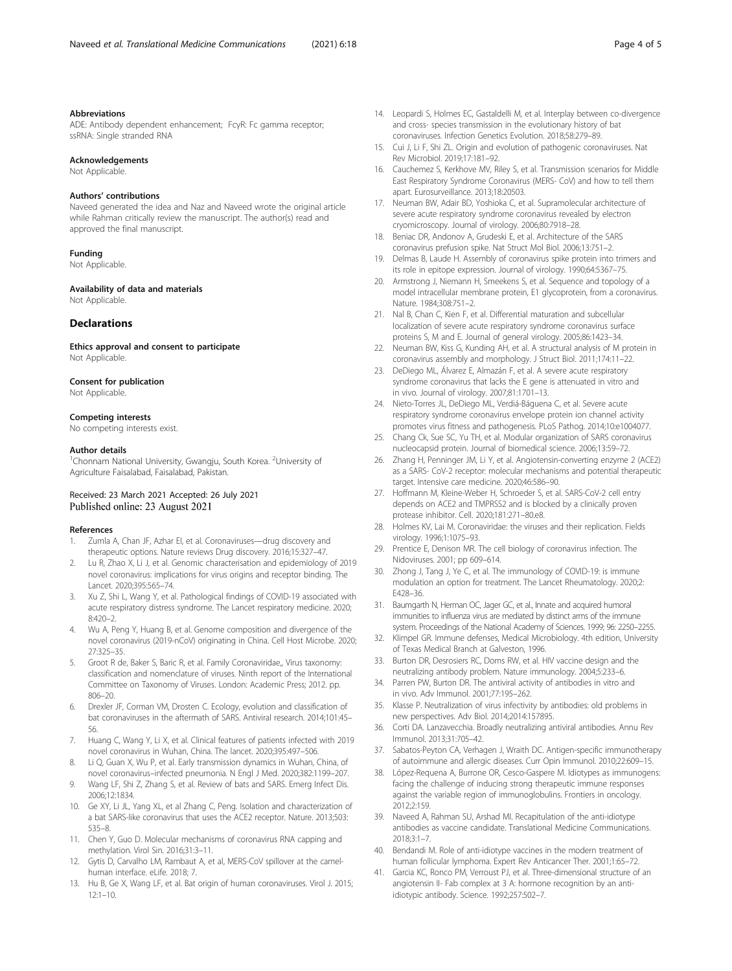#### <span id="page-3-0"></span>Abbreviations

ADE: Antibody dependent enhancement; FcγR: Fc gamma receptor; ssRNA: Single stranded RNA

#### Acknowledgements

Not Applicable.

#### Authors' contributions

Naveed generated the idea and Naz and Naveed wrote the original article while Rahman critically review the manuscript. The author(s) read and approved the final manuscript.

#### Funding

Not Applicable.

Availability of data and materials Not Applicable.

#### Declarations

Ethics approval and consent to participate Not Applicable.

#### Consent for publication

Not Applicable

#### Competing interests

No competing interests exist.

#### Author details

<sup>1</sup>Chonnam National University, Gwangju, South Korea. <sup>2</sup>University of Agriculture Faisalabad, Faisalabad, Pakistan.

#### Received: 23 March 2021 Accepted: 26 July 2021 Published online: 23 August 2021

#### References

- 1. Zumla A, Chan JF, Azhar EI, et al. Coronaviruses—drug discovery and therapeutic options. Nature reviews Drug discovery. 2016;15:327–47.
- Lu R, Zhao X, Li J, et al. Genomic characterisation and epidemiology of 2019 novel coronavirus: implications for virus origins and receptor binding. The Lancet. 2020;395:565–74.
- 3. Xu Z, Shi L, Wang Y, et al. Pathological findings of COVID-19 associated with acute respiratory distress syndrome. The Lancet respiratory medicine. 2020; 8:420–2.
- 4. Wu A, Peng Y, Huang B, et al. Genome composition and divergence of the novel coronavirus (2019-nCoV) originating in China. Cell Host Microbe. 2020; 27:325–35.
- 5. Groot R de, Baker S, Baric R, et al. Family Coronaviridae,, Virus taxonomy: classification and nomenclature of viruses. Ninth report of the International Committee on Taxonomy of Viruses. London: Academic Press; 2012. pp. 806–20.
- 6. Drexler JF, Corman VM, Drosten C. Ecology, evolution and classification of bat coronaviruses in the aftermath of SARS. Antiviral research. 2014;101:45– 56.
- 7. Huang C, Wang Y, Li X, et al. Clinical features of patients infected with 2019 novel coronavirus in Wuhan, China. The lancet. 2020;395:497–506.
- 8. Li Q, Guan X, Wu P, et al. Early transmission dynamics in Wuhan, China, of novel coronavirus–infected pneumonia. N Engl J Med. 2020;382:1199–207.
- 9. Wang LF, Shi Z, Zhang S, et al. Review of bats and SARS. Emerg Infect Dis. 2006;12:1834.
- 10. Ge XY, Li JL, Yang XL, et al Zhang C, Peng. Isolation and characterization of a bat SARS-like coronavirus that uses the ACE2 receptor. Nature. 2013;503: 535–8.
- 11. Chen Y, Guo D. Molecular mechanisms of coronavirus RNA capping and methylation. Virol Sin. 2016;31:3–11.
- 12. Gytis D, Carvalho LM, Rambaut A, et al, MERS-CoV spillover at the camelhuman interface. eLife. 2018; 7.
- 13. Hu B, Ge X, Wang LF, et al. Bat origin of human coronaviruses. Virol J. 2015; 12:1–10.
- 14. Leopardi S, Holmes EC, Gastaldelli M, et al. Interplay between co-divergence and cross- species transmission in the evolutionary history of bat coronaviruses. Infection Genetics Evolution. 2018;58:279–89.
- 15. Cui J, Li F, Shi ZL. Origin and evolution of pathogenic coronaviruses. Nat Rev Microbiol. 2019;17:181–92.
- 16. Cauchemez S, Kerkhove MV, Riley S, et al. Transmission scenarios for Middle East Respiratory Syndrome Coronavirus (MERS- CoV) and how to tell them apart. Eurosurveillance. 2013;18:20503.
- 17. Neuman BW, Adair BD, Yoshioka C, et al. Supramolecular architecture of severe acute respiratory syndrome coronavirus revealed by electron cryomicroscopy. Journal of virology. 2006;80:7918–28.
- 18. Beniac DR, Andonov A, Grudeski E, et al. Architecture of the SARS coronavirus prefusion spike. Nat Struct Mol Biol. 2006;13:751–2.
- 19. Delmas B, Laude H. Assembly of coronavirus spike protein into trimers and its role in epitope expression. Journal of virology. 1990;64:5367–75.
- 20. Armstrong J, Niemann H, Smeekens S, et al. Sequence and topology of a model intracellular membrane protein, E1 glycoprotein, from a coronavirus. Nature. 1984;308:751–2.
- 21. Nal B, Chan C, Kien F, et al. Differential maturation and subcellular localization of severe acute respiratory syndrome coronavirus surface proteins S, M and E. Journal of general virology. 2005;86:1423–34.
- 22. Neuman BW, Kiss G, Kunding AH, et al. A structural analysis of M protein in coronavirus assembly and morphology. J Struct Biol. 2011;174:11–22.
- 23. DeDiego ML, Álvarez E, Almazán F, et al. A severe acute respiratory syndrome coronavirus that lacks the E gene is attenuated in vitro and in vivo. Journal of virology. 2007;81:1701–13.
- 24. Nieto-Torres JL, DeDiego ML, Verdiá-Báguena C, et al. Severe acute respiratory syndrome coronavirus envelope protein ion channel activity promotes virus fitness and pathogenesis. PLoS Pathog. 2014;10:e1004077.
- 25. Chang Ck, Sue SC, Yu TH, et al. Modular organization of SARS coronavirus nucleocapsid protein. Journal of biomedical science. 2006;13:59–72.
- 26. Zhang H, Penninger JM, Li Y, et al. Angiotensin-converting enzyme 2 (ACE2) as a SARS- CoV-2 receptor: molecular mechanisms and potential therapeutic target. Intensive care medicine. 2020;46:586–90.
- 27. Hoffmann M, Kleine-Weber H, Schroeder S, et al. SARS-CoV-2 cell entry depends on ACE2 and TMPRSS2 and is blocked by a clinically proven protease inhibitor. Cell. 2020;181:271–80.e8.
- 28. Holmes KV, Lai M. Coronaviridae: the viruses and their replication. Fields virology. 1996;1:1075–93.
- 29. Prentice E, Denison MR. The cell biology of coronavirus infection. The Nidoviruses. 2001; pp 609–614.
- 30. Zhong J, Tang J, Ye C, et al. The immunology of COVID-19: is immune modulation an option for treatment. The Lancet Rheumatology. 2020;2: E428–36.
- 31. Baumgarth N, Herman OC, Jager GC, et al., Innate and acquired humoral immunities to influenza virus are mediated by distinct arms of the immune system. Proceedings of the National Academy of Sciences. 1999; 96: 2250–2255.
- 32. Klimpel GR. Immune defenses, Medical Microbiology. 4th edition, University of Texas Medical Branch at Galveston, 1996.
- 33. Burton DR, Desrosiers RC, Doms RW, et al. HIV vaccine design and the neutralizing antibody problem. Nature immunology. 2004;5:233–6.
- 34. Parren PW, Burton DR. The antiviral activity of antibodies in vitro and in vivo. Adv Immunol. 2001;77:195–262.
- 35. Klasse P. Neutralization of virus infectivity by antibodies: old problems in new perspectives. Adv Biol. 2014;2014:157895.
- 36. Corti DA. Lanzavecchia. Broadly neutralizing antiviral antibodies. Annu Rev Immunol. 2013;31:705–42.
- 37. Sabatos-Peyton CA, Verhagen J, Wraith DC. Antigen-specific immunotherapy of autoimmune and allergic diseases. Curr Opin Immunol. 2010;22:609–15.
- 38. López-Requena A, Burrone OR, Cesco-Gaspere M. Idiotypes as immunogens: facing the challenge of inducing strong therapeutic immune responses against the variable region of immunoglobulins. Frontiers in oncology. 2012;2:159.
- 39. Naveed A, Rahman SU, Arshad MI. Recapitulation of the anti-idiotype antibodies as vaccine candidate. Translational Medicine Communications. 2018;3:1–7.
- 40. Bendandi M. Role of anti-idiotype vaccines in the modern treatment of human follicular lymphoma. Expert Rev Anticancer Ther. 2001;1:65–72.
- 41. Garcia KC, Ronco PM, Verroust PJ, et al. Three-dimensional structure of an angiotensin II- Fab complex at 3 A: hormone recognition by an antiidiotypic antibody. Science. 1992;257:502–7.